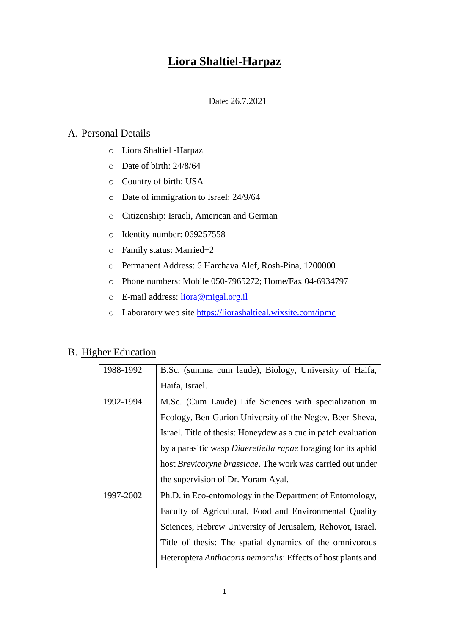# **Liora Shaltiel-Harpaz**

#### Date: 26.7.2021

### A. Personal Details

- o Liora Shaltiel -Harpaz
- o Date of birth: 24/8/64
- o Country of birth: USA
- o Date of immigration to Israel: 24/9/64
- o Citizenship: Israeli, American and German
- o Identity number: 069257558
- o Family status: Married+2
- o Permanent Address: 6 Harchava Alef, Rosh-Pina, 1200000
- o Phone numbers: Mobile 050-7965272; Home/Fax 04-6934797
- o E-mail address: [liora@migal.org.il](mailto:liora@migal.org.il)
- o Laboratory web site<https://liorashaltieal.wixsite.com/ipmc>

### B. Higher Education

| 1988-1992 | B.Sc. (summa cum laude), Biology, University of Haifa,               |
|-----------|----------------------------------------------------------------------|
|           | Haifa, Israel.                                                       |
| 1992-1994 | M.Sc. (Cum Laude) Life Sciences with specialization in               |
|           | Ecology, Ben-Gurion University of the Negev, Beer-Sheva,             |
|           | Israel. Title of thesis: Honeydew as a cue in patch evaluation       |
|           | by a parasitic wasp <i>Diaeretiella rapae</i> foraging for its aphid |
|           | host <i>Brevicoryne brassicae</i> . The work was carried out under   |
|           | the supervision of Dr. Yoram Ayal.                                   |
| 1997-2002 | Ph.D. in Eco-entomology in the Department of Entomology,             |
|           | Faculty of Agricultural, Food and Environmental Quality              |
|           | Sciences, Hebrew University of Jerusalem, Rehovot, Israel.           |
|           | Title of thesis: The spatial dynamics of the omnivorous              |
|           | Heteroptera <i>Anthocoris nemoralis</i> : Effects of host plants and |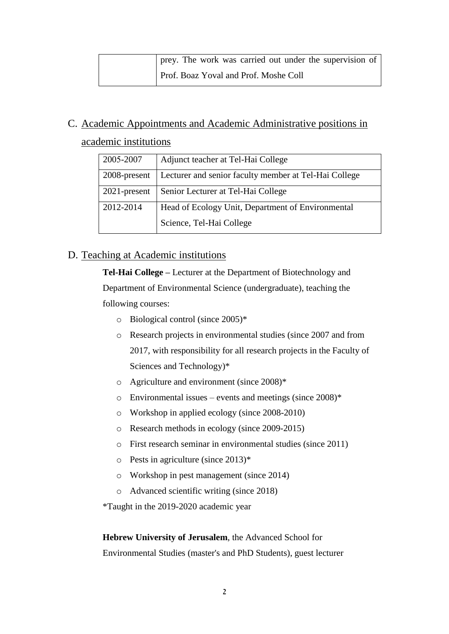| prey. The work was carried out under the supervision of |
|---------------------------------------------------------|
| Prof. Boaz Yoval and Prof. Moshe Coll                   |

# C. Academic Appointments and Academic Administrative positions in

academic institutions

| 2005-2007       | Adjunct teacher at Tel-Hai College                    |
|-----------------|-------------------------------------------------------|
| 2008-present    | Lecturer and senior faculty member at Tel-Hai College |
| $2021$ -present | Senior Lecturer at Tel-Hai College                    |
| 2012-2014       | Head of Ecology Unit, Department of Environmental     |
|                 | Science, Tel-Hai College                              |

### D. Teaching at Academic institutions

**Tel-Hai College –** Lecturer at the Department of Biotechnology and Department of Environmental Science (undergraduate), teaching the following courses:

- o Biological control (since 2005)\*
- o Research projects in environmental studies (since 2007 and from 2017, with responsibility for all research projects in the Faculty of Sciences and Technology)\*
- o Agriculture and environment (since 2008)\*
- $\circ$  Environmental issues events and meetings (since 2008)\*
- o Workshop in applied ecology (since 2008-2010)
- o Research methods in ecology (since 2009-2015)
- o First research seminar in environmental studies (since 2011)
- o Pests in agriculture (since 2013)\*
- o Workshop in pest management (since 2014)
- o Advanced scientific writing (since 2018)

\*Taught in the 2019-2020 academic year

**Hebrew University of Jerusalem**, the Advanced School for Environmental Studies (master's and PhD Students), guest lecturer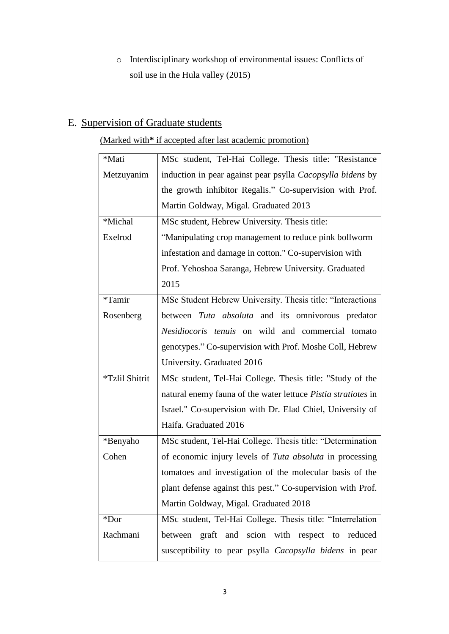o Interdisciplinary workshop of environmental issues: Conflicts of soil use in the Hula valley (2015)

# E. Supervision of Graduate students

### (Marked with**\*** if accepted after last academic promotion)

| *Mati          | MSc student, Tel-Hai College. Thesis title: "Resistance           |
|----------------|-------------------------------------------------------------------|
| Metzuyanim     | induction in pear against pear psylla <i>Cacopsylla bidens</i> by |
|                | the growth inhibitor Regalis." Co-supervision with Prof.          |
|                | Martin Goldway, Migal. Graduated 2013                             |
| *Michal        | MSc student, Hebrew University. Thesis title:                     |
| Exelrod        | "Manipulating crop management to reduce pink bollworm             |
|                | infestation and damage in cotton." Co-supervision with            |
|                | Prof. Yehoshoa Saranga, Hebrew University. Graduated              |
|                | 2015                                                              |
| *Tamir         | MSc Student Hebrew University. Thesis title: "Interactions        |
| Rosenberg      | between Tuta absoluta and its omnivorous predator                 |
|                | Nesidiocoris tenuis on wild and commercial tomato                 |
|                | genotypes." Co-supervision with Prof. Moshe Coll, Hebrew          |
|                | University. Graduated 2016                                        |
| *Tzlil Shitrit | MSc student, Tel-Hai College. Thesis title: "Study of the         |
|                | natural enemy fauna of the water lettuce Pistia stratiotes in     |
|                | Israel." Co-supervision with Dr. Elad Chiel, University of        |
|                | Haifa. Graduated 2016                                             |
| *Benyaho       | MSc student, Tel-Hai College. Thesis title: "Determination        |
| Cohen          | of economic injury levels of Tuta absoluta in processing          |
|                | tomatoes and investigation of the molecular basis of the          |
|                | plant defense against this pest." Co-supervision with Prof.       |
|                | Martin Goldway, Migal. Graduated 2018                             |
| $*$ Dor        | MSc student, Tel-Hai College. Thesis title: "Interrelation        |
| Rachmani       | between graft and scion with respect to reduced                   |
|                | susceptibility to pear psylla <i>Cacopsylla bidens</i> in pear    |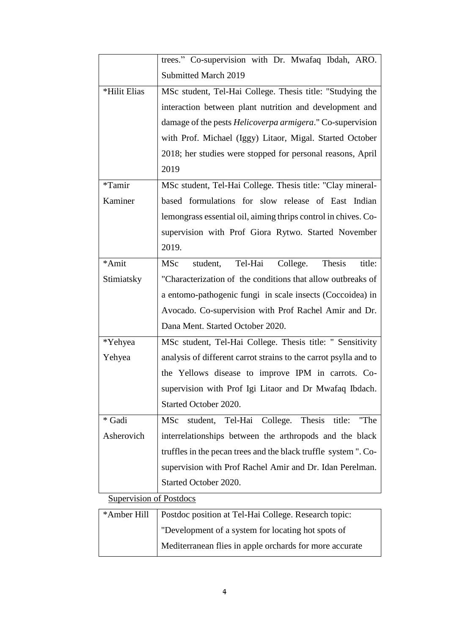|                                | trees." Co-supervision with Dr. Mwafaq Ibdah, ARO.                  |
|--------------------------------|---------------------------------------------------------------------|
|                                | Submitted March 2019                                                |
| *Hilit Elias                   | MSc student, Tel-Hai College. Thesis title: "Studying the           |
|                                | interaction between plant nutrition and development and             |
|                                | damage of the pests <i>Helicoverpa armigera</i> ." Co-supervision   |
|                                | with Prof. Michael (Iggy) Litaor, Migal. Started October            |
|                                | 2018; her studies were stopped for personal reasons, April          |
|                                | 2019                                                                |
| *Tamir                         | MSc student, Tel-Hai College. Thesis title: "Clay mineral-          |
| Kaminer                        | based formulations for slow release of East Indian                  |
|                                | lemongrass essential oil, aiming thrips control in chives. Co-      |
|                                | supervision with Prof Giora Rytwo. Started November                 |
|                                | 2019.                                                               |
| *Amit                          | Tel-Hai<br><b>MSc</b><br>student,<br>College.<br>Thesis<br>title:   |
| Stimiatsky                     | "Characterization of the conditions that allow outbreaks of         |
|                                | a entomo-pathogenic fungi in scale insects (Coccoidea) in           |
|                                | Avocado. Co-supervision with Prof Rachel Amir and Dr.               |
|                                | Dana Ment. Started October 2020.                                    |
| *Yehyea                        | MSc student, Tel-Hai College. Thesis title: " Sensitivity           |
| Yehyea                         | analysis of different carrot strains to the carrot psylla and to    |
|                                | the Yellows disease to improve IPM in carrots. Co-                  |
|                                | supervision with Prof Igi Litaor and Dr Mwafaq Ibdach.              |
|                                | Started October 2020.                                               |
| * Gadi                         | College. Thesis<br>student, Tel-Hai<br>title:<br><b>MSc</b><br>"The |
| Asherovich                     | interrelationships between the arthropods and the black             |
|                                | truffles in the pecan trees and the black truffle system ". Co-     |
|                                | supervision with Prof Rachel Amir and Dr. Idan Perelman.            |
|                                | Started October 2020.                                               |
| <b>Supervision of Postdocs</b> |                                                                     |

| *Amber Hill   Postdoc position at Tel-Hai College. Research topic: |
|--------------------------------------------------------------------|
| The "Development of a system for locating hot spots of             |
| Mediterranean flies in apple orchards for more accurate            |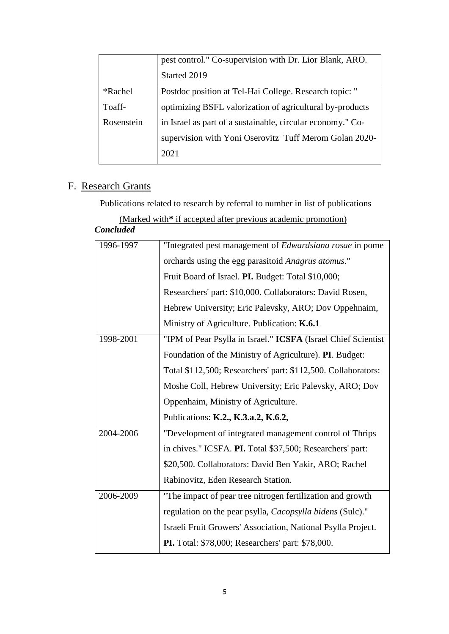|            | pest control." Co-supervision with Dr. Lior Blank, ARO.    |
|------------|------------------------------------------------------------|
|            | Started 2019                                               |
| *Rachel    | Postdoc position at Tel-Hai College. Research topic: "     |
| Toaff-     | optimizing BSFL valorization of agricultural by-products   |
| Rosenstein | in Israel as part of a sustainable, circular economy." Co- |
|            | supervision with Yoni Oserovitz Tuff Merom Golan 2020-     |
|            | 2021                                                       |

## F. Research Grants

Publications related to research by referral to number in list of publications

(Marked with**\*** if accepted after previous academic promotion)

### *Concluded*

| 1996-1997 | "Integrated pest management of Edwardsiana rosae in pome      |
|-----------|---------------------------------------------------------------|
|           | orchards using the egg parasitoid Anagrus atomus."            |
|           | Fruit Board of Israel. PI. Budget: Total \$10,000;            |
|           | Researchers' part: \$10,000. Collaborators: David Rosen,      |
|           | Hebrew University; Eric Palevsky, ARO; Dov Oppehnaim,         |
|           | Ministry of Agriculture. Publication: K.6.1                   |
| 1998-2001 | "IPM of Pear Psylla in Israel." ICSFA (Israel Chief Scientist |
|           | Foundation of the Ministry of Agriculture). PI. Budget:       |
|           | Total \$112,500; Researchers' part: \$112,500. Collaborators: |
|           | Moshe Coll, Hebrew University; Eric Palevsky, ARO; Dov        |
|           |                                                               |
|           | Oppenhaim, Ministry of Agriculture.                           |
|           | Publications: K.2., K.3.a.2, K.6.2,                           |
| 2004-2006 | "Development of integrated management control of Thrips       |
|           | in chives." ICSFA. PI. Total \$37,500; Researchers' part:     |
|           | \$20,500. Collaborators: David Ben Yakir, ARO; Rachel         |
|           | Rabinovitz, Eden Research Station.                            |
| 2006-2009 | "The impact of pear tree nitrogen fertilization and growth    |
|           | regulation on the pear psylla, Cacopsylla bidens (Sulc)."     |
|           | Israeli Fruit Growers' Association, National Psylla Project.  |
|           | PI. Total: \$78,000; Researchers' part: \$78,000.             |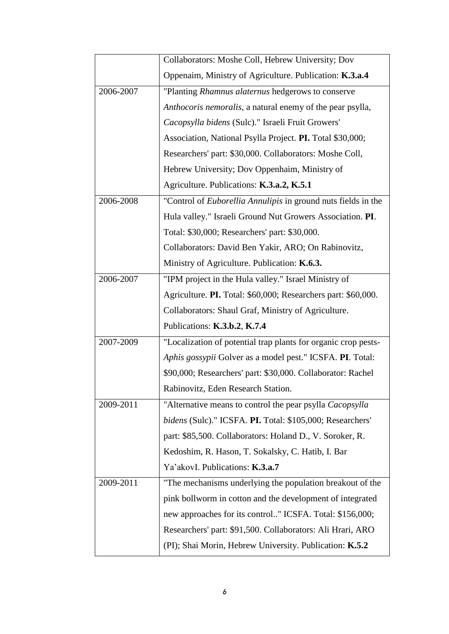|           | Collaborators: Moshe Coll, Hebrew University; Dov               |
|-----------|-----------------------------------------------------------------|
|           | Oppenaim, Ministry of Agriculture. Publication: K.3.a.4         |
| 2006-2007 | "Planting Rhamnus alaternus hedgerows to conserve               |
|           | Anthocoris nemoralis, a natural enemy of the pear psylla,       |
|           | Cacopsylla bidens (Sulc)." Israeli Fruit Growers'               |
|           | Association, National Psylla Project. PI. Total \$30,000;       |
|           | Researchers' part: \$30,000. Collaborators: Moshe Coll,         |
|           | Hebrew University; Dov Oppenhaim, Ministry of                   |
|           | Agriculture. Publications: K.3.a.2, K.5.1                       |
| 2006-2008 | "Control of Euborellia Annulipis in ground nuts fields in the   |
|           | Hula valley." Israeli Ground Nut Growers Association. PI.       |
|           | Total: \$30,000; Researchers' part: \$30,000.                   |
|           | Collaborators: David Ben Yakir, ARO; On Rabinovitz,             |
|           | Ministry of Agriculture. Publication: K.6.3.                    |
| 2006-2007 | "IPM project in the Hula valley." Israel Ministry of            |
|           | Agriculture. PI. Total: \$60,000; Researchers part: \$60,000.   |
|           | Collaborators: Shaul Graf, Ministry of Agriculture.             |
|           | Publications: K.3.b.2, K.7.4                                    |
| 2007-2009 | "Localization of potential trap plants for organic crop pests-  |
|           | Aphis gossypii Golver as a model pest." ICSFA. PI. Total:       |
|           | \$90,000; Researchers' part: \$30,000. Collaborator: Rachel     |
|           | Rabinovitz, Eden Research Station                               |
| 2009-2011 | "Alternative means to control the pear psylla <i>Cacopsylla</i> |
|           | bidens (Sulc)." ICSFA. PI. Total: \$105,000; Researchers'       |
|           | part: \$85,500. Collaborators: Holand D., V. Soroker, R.        |
|           | Kedoshim, R. Hason, T. Sokalsky, C. Hatib, I. Bar               |
|           | Ya'akovI. Publications: K.3.a.7                                 |
| 2009-2011 | "The mechanisms underlying the population breakout of the       |
|           | pink bollworm in cotton and the development of integrated       |
|           | new approaches for its control" ICSFA. Total: \$156,000;        |
|           | Researchers' part: \$91,500. Collaborators: Ali Hrari, ARO      |
|           | (PI); Shai Morin, Hebrew University. Publication: K.5.2         |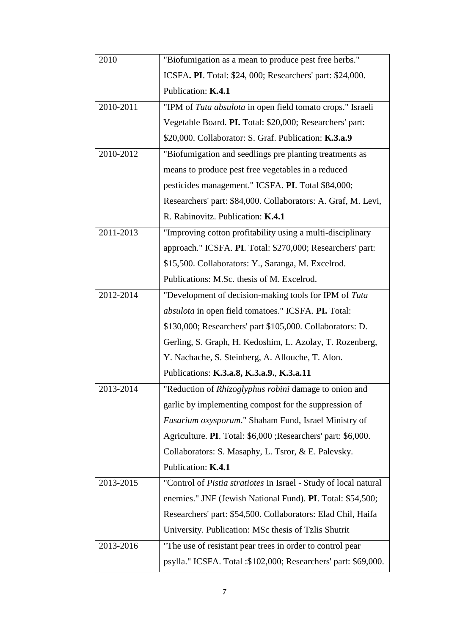| 2010      | "Biofumigation as a mean to produce pest free herbs."            |
|-----------|------------------------------------------------------------------|
|           | ICSFA. PI. Total: \$24, 000; Researchers' part: \$24,000.        |
|           | Publication: K.4.1                                               |
| 2010-2011 | "IPM of Tuta absulota in open field tomato crops." Israeli       |
|           | Vegetable Board. PI. Total: \$20,000; Researchers' part:         |
|           | \$20,000. Collaborator: S. Graf. Publication: K.3.a.9            |
| 2010-2012 | "Biofumigation and seedlings pre planting treatments as          |
|           | means to produce pest free vegetables in a reduced               |
|           | pesticides management." ICSFA. PI. Total \$84,000;               |
|           | Researchers' part: \$84,000. Collaborators: A. Graf, M. Levi,    |
|           | R. Rabinovitz. Publication: K.4.1                                |
| 2011-2013 | "Improving cotton profitability using a multi-disciplinary       |
|           | approach." ICSFA. PI. Total: \$270,000; Researchers' part:       |
|           | \$15,500. Collaborators: Y., Saranga, M. Excelrod.               |
|           | Publications: M.Sc. thesis of M. Excelrod.                       |
| 2012-2014 | "Development of decision-making tools for IPM of Tuta            |
|           | absulota in open field tomatoes." ICSFA. PI. Total:              |
|           | \$130,000; Researchers' part \$105,000. Collaborators: D.        |
|           | Gerling, S. Graph, H. Kedoshim, L. Azolay, T. Rozenberg,         |
|           | Y. Nachache, S. Steinberg, A. Allouche, T. Alon.                 |
|           | Publications: K.3.a.8, K.3.a.9., K.3.a.11                        |
| 2013-2014 | "Reduction of Rhizoglyphus robini damage to onion and            |
|           | garlic by implementing compost for the suppression of            |
|           | Fusarium oxysporum." Shaham Fund, Israel Ministry of             |
|           | Agriculture. PI. Total: \$6,000 ; Researchers' part: \$6,000.    |
|           | Collaborators: S. Masaphy, L. Tsror, & E. Palevsky.              |
|           | Publication: K.4.1                                               |
| 2013-2015 | "Control of Pistia stratiotes In Israel - Study of local natural |
|           | enemies." JNF (Jewish National Fund). PI. Total: \$54,500;       |
|           | Researchers' part: \$54,500. Collaborators: Elad Chil, Haifa     |
|           | University. Publication: MSc thesis of Tzlis Shutrit             |
| 2013-2016 | "The use of resistant pear trees in order to control pear        |
|           | psylla." ICSFA. Total :\$102,000; Researchers' part: \$69,000.   |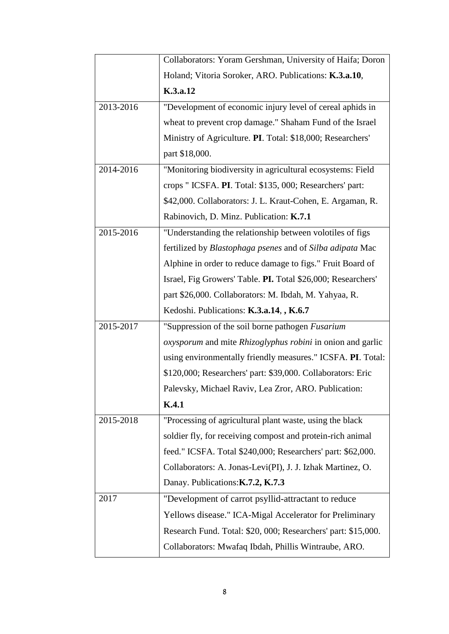|           | Collaborators: Yoram Gershman, University of Haifa; Doron                |
|-----------|--------------------------------------------------------------------------|
|           | Holand; Vitoria Soroker, ARO. Publications: K.3.a.10,                    |
|           | K.3.a.12                                                                 |
| 2013-2016 | "Development of economic injury level of cereal aphids in                |
|           | wheat to prevent crop damage." Shaham Fund of the Israel                 |
|           | Ministry of Agriculture. PI. Total: \$18,000; Researchers'               |
|           | part \$18,000.                                                           |
| 2014-2016 | "Monitoring biodiversity in agricultural ecosystems: Field               |
|           | crops " ICSFA. PI. Total: \$135, 000; Researchers' part:                 |
|           | \$42,000. Collaborators: J. L. Kraut-Cohen, E. Argaman, R.               |
|           | Rabinovich, D. Minz. Publication: K.7.1                                  |
| 2015-2016 | "Understanding the relationship between volotiles of figs                |
|           | fertilized by Blastophaga psenes and of Silba adipata Mac                |
|           | Alphine in order to reduce damage to figs." Fruit Board of               |
|           | Israel, Fig Growers' Table. PI. Total \$26,000; Researchers'             |
|           | part \$26,000. Collaborators: M. Ibdah, M. Yahyaa, R.                    |
|           | Kedoshi. Publications: K.3.a.14, , K.6.7                                 |
| 2015-2017 | "Suppression of the soil borne pathogen Fusarium                         |
|           | <i>oxysporum</i> and mite <i>Rhizoglyphus robini</i> in onion and garlic |
|           | using environmentally friendly measures." ICSFA. PI. Total:              |
|           | \$120,000; Researchers' part: \$39,000. Collaborators: Eric              |
|           | Palevsky, Michael Raviv, Lea Zror, ARO. Publication:                     |
|           | K.4.1                                                                    |
| 2015-2018 | "Processing of agricultural plant waste, using the black                 |
|           | soldier fly, for receiving compost and protein-rich animal               |
|           | feed." ICSFA. Total \$240,000; Researchers' part: \$62,000.              |
|           | Collaborators: A. Jonas-Levi(PI), J. J. Izhak Martinez, O.               |
|           | Danay. Publications: K.7.2, K.7.3                                        |
| 2017      | "Development of carrot psyllid-attractant to reduce                      |
|           | Yellows disease." ICA-Migal Accelerator for Preliminary                  |
|           | Research Fund. Total: \$20, 000; Researchers' part: \$15,000.            |
|           | Collaborators: Mwafaq Ibdah, Phillis Wintraube, ARO.                     |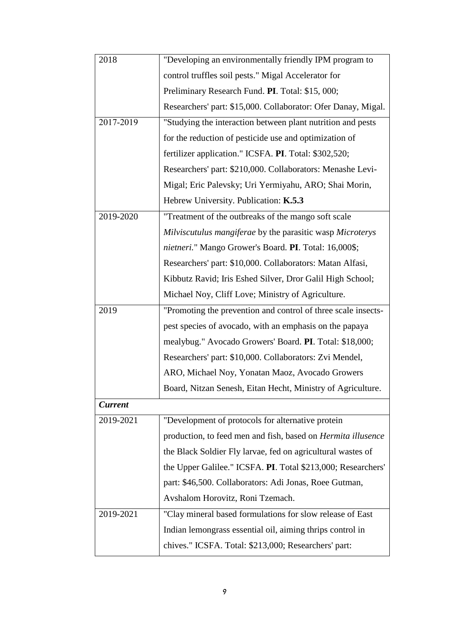| 2018           | "Developing an environmentally friendly IPM program to        |
|----------------|---------------------------------------------------------------|
|                | control truffles soil pests." Migal Accelerator for           |
|                | Preliminary Research Fund. PI. Total: \$15, 000;              |
|                | Researchers' part: \$15,000. Collaborator: Ofer Danay, Migal. |
| 2017-2019      | "Studying the interaction between plant nutrition and pests   |
|                | for the reduction of pesticide use and optimization of        |
|                | fertilizer application." ICSFA. PI. Total: \$302,520;         |
|                | Researchers' part: \$210,000. Collaborators: Menashe Levi-    |
|                | Migal; Eric Palevsky; Uri Yermiyahu, ARO; Shai Morin,         |
|                | Hebrew University. Publication: K.5.3                         |
| 2019-2020      | "Treatment of the outbreaks of the mango soft scale           |
|                | Milviscutulus mangiferae by the parasitic wasp Microterys     |
|                | nietneri." Mango Grower's Board. PI. Total: 16,000\$;         |
|                | Researchers' part: \$10,000. Collaborators: Matan Alfasi,     |
|                | Kibbutz Ravid; Iris Eshed Silver, Dror Galil High School;     |
|                | Michael Noy, Cliff Love; Ministry of Agriculture.             |
|                |                                                               |
| 2019           | "Promoting the prevention and control of three scale insects- |
|                | pest species of avocado, with an emphasis on the papaya       |
|                | mealybug." Avocado Growers' Board. PI. Total: \$18,000;       |
|                | Researchers' part: \$10,000. Collaborators: Zvi Mendel,       |
|                | ARO, Michael Noy, Yonatan Maoz, Avocado Growers               |
|                | Board, Nitzan Senesh, Eitan Hecht, Ministry of Agriculture.   |
| <b>Current</b> |                                                               |
| 2019-2021      | "Development of protocols for alternative protein             |
|                | production, to feed men and fish, based on Hermita illusence  |
|                | the Black Soldier Fly larvae, fed on agricultural wastes of   |
|                | the Upper Galilee." ICSFA. PI. Total \$213,000; Researchers'  |
|                | part: \$46,500. Collaborators: Adi Jonas, Roee Gutman,        |
|                | Avshalom Horovitz, Roni Tzemach.                              |
| 2019-2021      | "Clay mineral based formulations for slow release of East     |
|                | Indian lemongrass essential oil, aiming thrips control in     |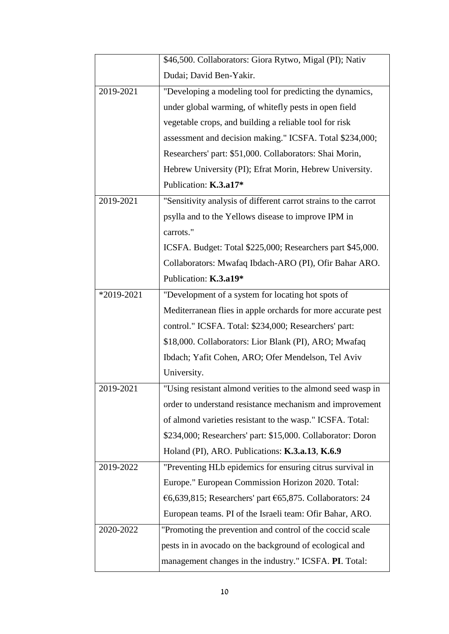|            | \$46,500. Collaborators: Giora Rytwo, Migal (PI); Nativ         |
|------------|-----------------------------------------------------------------|
|            | Dudai; David Ben-Yakir.                                         |
| 2019-2021  | "Developing a modeling tool for predicting the dynamics,        |
|            | under global warming, of whitefly pests in open field           |
|            | vegetable crops, and building a reliable tool for risk          |
|            | assessment and decision making." ICSFA. Total \$234,000;        |
|            | Researchers' part: \$51,000. Collaborators: Shai Morin,         |
|            | Hebrew University (PI); Efrat Morin, Hebrew University.         |
|            | Publication: K.3.a17*                                           |
| 2019-2021  | "Sensitivity analysis of different carrot strains to the carrot |
|            | psylla and to the Yellows disease to improve IPM in             |
|            | carrots."                                                       |
|            | ICSFA. Budget: Total \$225,000; Researchers part \$45,000.      |
|            | Collaborators: Mwafaq Ibdach-ARO (PI), Ofir Bahar ARO.          |
|            | Publication: K.3.a19*                                           |
| *2019-2021 | "Development of a system for locating hot spots of              |
|            | Mediterranean flies in apple orchards for more accurate pest    |
|            | control." ICSFA. Total: \$234,000; Researchers' part:           |
|            | \$18,000. Collaborators: Lior Blank (PI), ARO; Mwafaq           |
|            | Ibdach; Yafit Cohen, ARO; Ofer Mendelson, Tel Aviv              |
|            | University.                                                     |
| 2019-2021  | "Using resistant almond verities to the almond seed wasp in     |
|            | order to understand resistance mechanism and improvement        |
|            | of almond varieties resistant to the wasp." ICSFA. Total:       |
|            | \$234,000; Researchers' part: \$15,000. Collaborator: Doron     |
|            | Holand (PI), ARO. Publications: K.3.a.13, K.6.9                 |
| 2019-2022  | "Preventing HLb epidemics for ensuring citrus survival in       |
|            | Europe." European Commission Horizon 2020. Total:               |
|            | €6,639,815; Researchers' part €65,875. Collaborators: 24        |
|            | European teams. PI of the Israeli team: Ofir Bahar, ARO.        |
| 2020-2022  | "Promoting the prevention and control of the coccid scale"      |
|            | pests in in avocado on the background of ecological and         |
|            | management changes in the industry." ICSFA. PI. Total:          |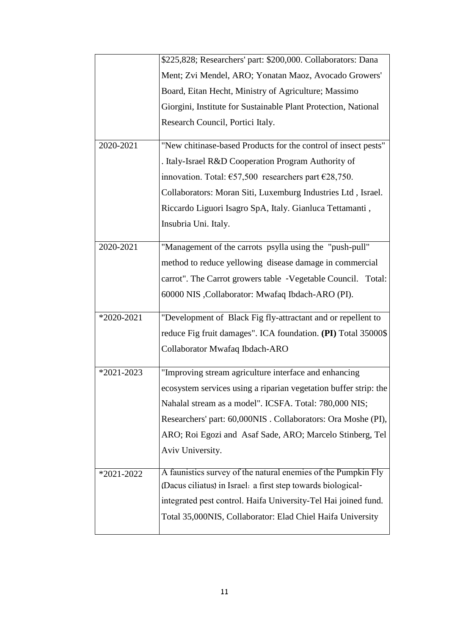|                | \$225,828; Researchers' part: \$200,000. Collaborators: Dana     |
|----------------|------------------------------------------------------------------|
|                | Ment; Zvi Mendel, ARO; Yonatan Maoz, Avocado Growers'            |
|                | Board, Eitan Hecht, Ministry of Agriculture; Massimo             |
|                | Giorgini, Institute for Sustainable Plant Protection, National   |
|                | Research Council, Portici Italy.                                 |
| 2020-2021      | "New chitinase-based Products for the control of insect pests"   |
|                | . Italy-Israel R&D Cooperation Program Authority of              |
|                | innovation. Total: $657,500$ researchers part $628,750$ .        |
|                | Collaborators: Moran Siti, Luxemburg Industries Ltd, Israel.     |
|                | Riccardo Liguori Isagro SpA, Italy. Gianluca Tettamanti,         |
|                | Insubria Uni. Italy.                                             |
| 2020-2021      | "Management of the carrots psylla using the "push-pull"          |
|                | method to reduce yellowing disease damage in commercial          |
|                | carrot". The Carrot growers table -Vegetable Council. Total:     |
|                | 60000 NIS , Collaborator: Mwafaq Ibdach-ARO (PI).                |
| *2020-2021     | "Development of Black Fig fly-attractant and or repellent to     |
|                | reduce Fig fruit damages". ICA foundation. (PI) Total 35000\$    |
|                | Collaborator Mwafaq Ibdach-ARO                                   |
| $*2021 - 2023$ | "Improving stream agriculture interface and enhancing            |
|                | ecosystem services using a riparian vegetation buffer strip: the |
|                | Nahalal stream as a model". ICSFA. Total: 780,000 NIS;           |
|                | Researchers' part: 60,000NIS. Collaborators: Ora Moshe (PI),     |
|                | ARO; Roi Egozi and Asaf Sade, ARO; Marcelo Stinberg, Tel         |
|                | Aviv University.                                                 |
| $*2021 - 2022$ | A faunistics survey of the natural enemies of the Pumpkin Fly    |
|                | (Dacus ciliatus) in Israel: a first step towards biological-     |
|                | integrated pest control. Haifa University-Tel Hai joined fund.   |
|                | Total 35,000NIS, Collaborator: Elad Chiel Haifa University       |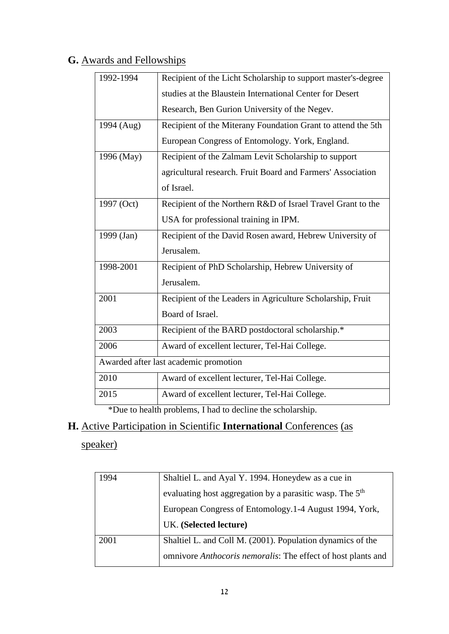# **G.** Awards and Fellowships

| 1992-1994  | Recipient of the Licht Scholarship to support master's-degree |
|------------|---------------------------------------------------------------|
|            | studies at the Blaustein International Center for Desert      |
|            | Research, Ben Gurion University of the Negev.                 |
| 1994 (Aug) | Recipient of the Miterany Foundation Grant to attend the 5th  |
|            | European Congress of Entomology. York, England.               |
| 1996 (May) | Recipient of the Zalmam Levit Scholarship to support          |
|            | agricultural research. Fruit Board and Farmers' Association   |
|            | of Israel.                                                    |
| 1997 (Oct) | Recipient of the Northern R&D of Israel Travel Grant to the   |
|            | USA for professional training in IPM.                         |
| 1999 (Jan) | Recipient of the David Rosen award, Hebrew University of      |
|            | Jerusalem.                                                    |
| 1998-2001  | Recipient of PhD Scholarship, Hebrew University of            |
|            | Jerusalem.                                                    |
| 2001       | Recipient of the Leaders in Agriculture Scholarship, Fruit    |
|            | Board of Israel.                                              |
| 2003       | Recipient of the BARD postdoctoral scholarship.*              |
| 2006       | Award of excellent lecturer, Tel-Hai College.                 |
|            | Awarded after last academic promotion                         |
| 2010       | Award of excellent lecturer, Tel-Hai College.                 |
| 2015       | Award of excellent lecturer, Tel-Hai College.                 |

\*Due to health problems, I had to decline the scholarship.

# **H.** Active Participation in Scientific **International** Conferences (as

# speaker)

| 1994 | Shaltiel L. and Ayal Y. 1994. Honeydew as a cue in                   |
|------|----------------------------------------------------------------------|
|      | evaluating host aggregation by a parasitic wasp. The 5 <sup>th</sup> |
|      | European Congress of Entomology.1-4 August 1994, York,               |
|      | UK. (Selected lecture)                                               |
|      |                                                                      |
| 2001 | Shaltiel L. and Coll M. (2001). Population dynamics of the           |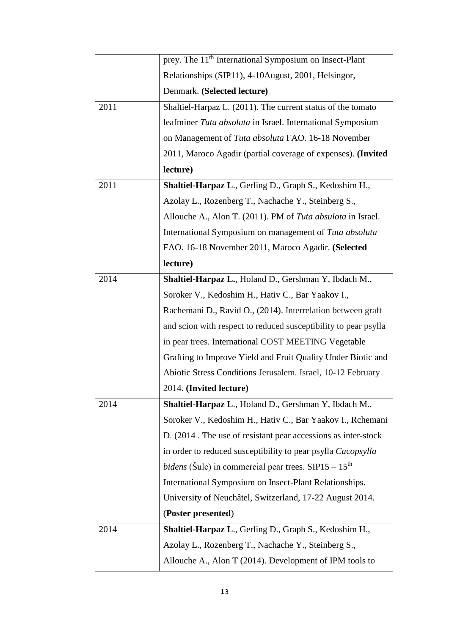|      | prey. The 11 <sup>th</sup> International Symposium on Insect-Plant  |
|------|---------------------------------------------------------------------|
|      | Relationships (SIP11), 4-10August, 2001, Helsingor,                 |
|      | Denmark. (Selected lecture)                                         |
| 2011 | Shaltiel-Harpaz L. (2011). The current status of the tomato         |
|      | leafminer Tuta absoluta in Israel. International Symposium          |
|      | on Management of Tuta absoluta FAO. 16-18 November                  |
|      | 2011, Maroco Agadir (partial coverage of expenses). (Invited        |
|      | lecture)                                                            |
| 2011 | Shaltiel-Harpaz L., Gerling D., Graph S., Kedoshim H.,              |
|      | Azolay L., Rozenberg T., Nachache Y., Steinberg S.,                 |
|      | Allouche A., Alon T. (2011). PM of Tuta absulota in Israel.         |
|      | International Symposium on management of Tuta absoluta              |
|      | FAO. 16-18 November 2011, Maroco Agadir. (Selected                  |
|      | lecture)                                                            |
| 2014 | Shaltiel-Harpaz L., Holand D., Gershman Y, Ibdach M.,               |
|      | Soroker V., Kedoshim H., Hativ C., Bar Yaakov I.,                   |
|      | Rachemani D., Ravid O., (2014). Interrelation between graft         |
|      | and scion with respect to reduced susceptibility to pear psylla     |
|      | in pear trees. International COST MEETING Vegetable                 |
|      | Grafting to Improve Yield and Fruit Quality Under Biotic and        |
|      | Abiotic Stress Conditions Jerusalem. Israel, 10-12 February         |
|      | 2014. (Invited lecture)                                             |
| 2014 | Shaltiel-Harpaz L., Holand D., Gershman Y, Ibdach M.,               |
|      | Soroker V., Kedoshim H., Hativ C., Bar Yaakov I., Rchemani          |
|      | D. (2014). The use of resistant pear accessions as inter-stock      |
|      | in order to reduced susceptibility to pear psylla <i>Cacopsylla</i> |
|      | <i>bidens</i> (Šulc) in commercial pear trees. $SIP15 - 15th$       |
|      | International Symposium on Insect-Plant Relationships.              |
|      | University of Neuchâtel, Switzerland, 17-22 August 2014.            |
|      | (Poster presented)                                                  |
| 2014 | Shaltiel-Harpaz L., Gerling D., Graph S., Kedoshim H.,              |
|      | Azolay L., Rozenberg T., Nachache Y., Steinberg S.,                 |
|      | Allouche A., Alon T (2014). Development of IPM tools to             |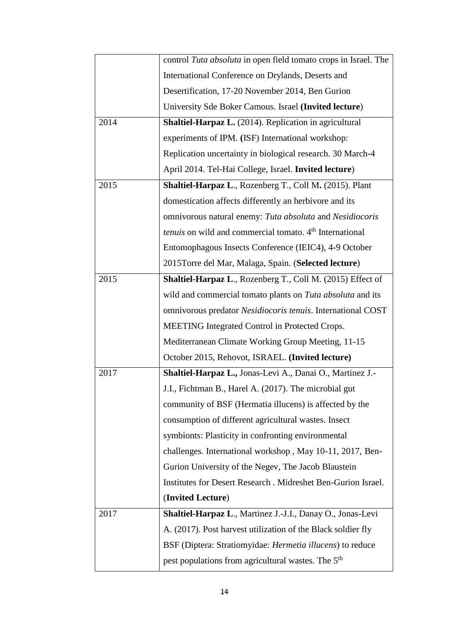|      | control Tuta absoluta in open field tomato crops in Israel. The            |
|------|----------------------------------------------------------------------------|
|      | International Conference on Drylands, Deserts and                          |
|      | Desertification, 17-20 November 2014, Ben Gurion                           |
|      | University Sde Boker Camous. Israel (Invited lecture)                      |
| 2014 | <b>Shaltiel-Harpaz L.</b> (2014). Replication in agricultural              |
|      | experiments of IPM. (ISF) International workshop:                          |
|      | Replication uncertainty in biological research. 30 March-4                 |
|      | April 2014. Tel-Hai College, Israel. Invited lecture)                      |
| 2015 | Shaltiel-Harpaz L., Rozenberg T., Coll M. (2015). Plant                    |
|      | domestication affects differently an herbivore and its                     |
|      | omnivorous natural enemy: Tuta absoluta and Nesidiocoris                   |
|      | <i>tenuis</i> on wild and commercial tomato. 4 <sup>th</sup> International |
|      | Entomophagous Insects Conference (IEIC4), 4-9 October                      |
|      | 2015Torre del Mar, Malaga, Spain. (Selected lecture)                       |
| 2015 | Shaltiel-Harpaz L., Rozenberg T., Coll M. (2015) Effect of                 |
|      | wild and commercial tomato plants on Tuta absoluta and its                 |
|      | omnivorous predator Nesidiocoris tenuis. International COST                |
|      | MEETING Integrated Control in Protected Crops.                             |
|      | Mediterranean Climate Working Group Meeting, 11-15                         |
|      | October 2015, Rehovot, ISRAEL. (Invited lecture)                           |
| 2017 | Shaltiel-Harpaz L., Jonas-Levi A., Danai O., Martinez J.-                  |
|      | J.I., Fichtman B., Harel A. (2017). The microbial gut                      |
|      | community of BSF (Hermatia illucens) is affected by the                    |
|      | consumption of different agricultural wastes. Insect                       |
|      | symbionts: Plasticity in confronting environmental                         |
|      | challenges. International workshop, May 10-11, 2017, Ben-                  |
|      | Gurion University of the Negev, The Jacob Blaustein                        |
|      | Institutes for Desert Research . Midreshet Ben-Gurion Israel.              |
|      | (Invited Lecture)                                                          |
| 2017 | Shaltiel-Harpaz L., Martinez J.-J.I., Danay O., Jonas-Levi                 |
|      | A. (2017). Post harvest utilization of the Black soldier fly               |
|      | BSF (Diptera: Stratiomyidae: Hermetia illucens) to reduce                  |
|      | pest populations from agricultural wastes. The 5 <sup>th</sup>             |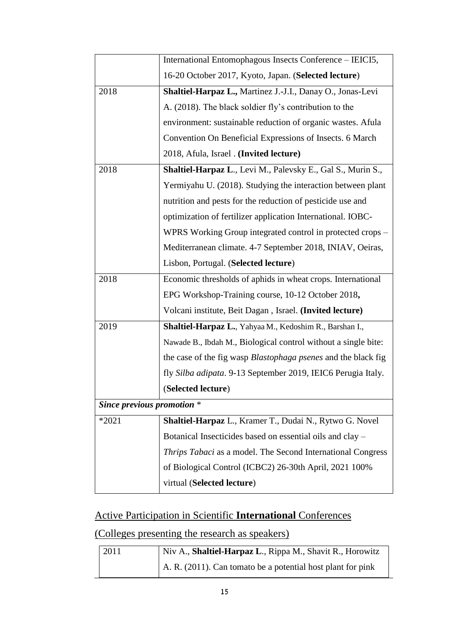|                            | International Entomophagous Insects Conference - IEICI5,       |
|----------------------------|----------------------------------------------------------------|
|                            | 16-20 October 2017, Kyoto, Japan. (Selected lecture)           |
| 2018                       | Shaltiel-Harpaz L., Martinez J.-J.I., Danay O., Jonas-Levi     |
|                            | A. (2018). The black soldier fly's contribution to the         |
|                            | environment: sustainable reduction of organic wastes. Afula    |
|                            | Convention On Beneficial Expressions of Insects. 6 March       |
|                            | 2018, Afula, Israel . (Invited lecture)                        |
| 2018                       | Shaltiel-Harpaz L., Levi M., Palevsky E., Gal S., Murin S.,    |
|                            | Yermiyahu U. (2018). Studying the interaction between plant    |
|                            | nutrition and pests for the reduction of pesticide use and     |
|                            | optimization of fertilizer application International. IOBC-    |
|                            | WPRS Working Group integrated control in protected crops –     |
|                            | Mediterranean climate. 4-7 September 2018, INIAV, Oeiras,      |
|                            | Lisbon, Portugal. (Selected lecture)                           |
| 2018                       | Economic thresholds of aphids in wheat crops. International    |
|                            | EPG Workshop-Training course, 10-12 October 2018,              |
|                            | Volcani institute, Beit Dagan, Israel. (Invited lecture)       |
| 2019                       | Shaltiel-Harpaz L., Yahyaa M., Kedoshim R., Barshan I.,        |
|                            | Nawade B., Ibdah M., Biological control without a single bite: |
|                            | the case of the fig wasp Blastophaga psenes and the black fig  |
|                            | fly Silba adipata. 9-13 September 2019, IEIC6 Perugia Italy.   |
|                            | (Selected lecture)                                             |
| Since previous promotion * |                                                                |
| $*2021$                    | Shaltiel-Harpaz L., Kramer T., Dudai N., Rytwo G. Novel        |
|                            | Botanical Insecticides based on essential oils and clay -      |
|                            | Thrips Tabaci as a model. The Second International Congress    |
|                            | of Biological Control (ICBC2) 26-30th April, 2021 100%         |
|                            | virtual (Selected lecture)                                     |

# Active Participation in Scientific **International** Conferences

(Colleges presenting the research as speakers)

| 2011 | Niv A., Shaltiel-Harpaz L., Rippa M., Shavit R., Horowitz           |
|------|---------------------------------------------------------------------|
|      | $\vert$ A. R. (2011). Can tomato be a potential host plant for pink |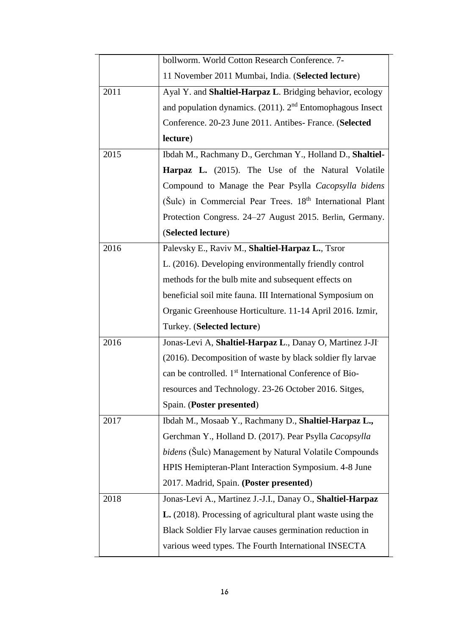|      | bollworm. World Cotton Research Conference. 7-                        |
|------|-----------------------------------------------------------------------|
|      | 11 November 2011 Mumbai, India. (Selected lecture)                    |
| 2011 | Ayal Y. and <b>Shaltiel-Harpaz L.</b> Bridging behavior, ecology      |
|      | and population dynamics. $(2011)$ . $2nd$ Entomophagous Insect        |
|      | Conference. 20-23 June 2011. Antibes- France. (Selected               |
|      | lecture)                                                              |
| 2015 | Ibdah M., Rachmany D., Gerchman Y., Holland D., Shaltiel-             |
|      | <b>Harpaz L.</b> (2015). The Use of the Natural Volatile              |
|      | Compound to Manage the Pear Psylla Cacopsylla bidens                  |
|      | (Šulc) in Commercial Pear Trees. 18 <sup>th</sup> International Plant |
|      | Protection Congress. 24-27 August 2015. Berlin, Germany.              |
|      | (Selected lecture)                                                    |
| 2016 | Palevsky E., Raviv M., Shaltiel-Harpaz L., Tsror                      |
|      | L. (2016). Developing environmentally friendly control                |
|      | methods for the bulb mite and subsequent effects on                   |
|      | beneficial soil mite fauna. III International Symposium on            |
|      | Organic Greenhouse Horticulture. 11-14 April 2016. Izmir,             |
|      | Turkey. (Selected lecture)                                            |
| 2016 | Jonas-Levi A, Shaltiel-Harpaz L., Danay O, Martinez J-JI              |
|      | (2016). Decomposition of waste by black soldier fly larvae            |
|      | can be controlled. 1 <sup>st</sup> International Conference of Bio-   |
|      | resources and Technology. 23-26 October 2016. Sitges,                 |
|      | Spain. (Poster presented)                                             |
| 2017 | Ibdah M., Mosaab Y., Rachmany D., Shaltiel-Harpaz L.,                 |
|      | Gerchman Y., Holland D. (2017). Pear Psylla Cacopsylla                |
|      | <i>bidens</i> (Sulc) Management by Natural Volatile Compounds         |
|      | HPIS Hemipteran-Plant Interaction Symposium. 4-8 June                 |
|      | 2017. Madrid, Spain. (Poster presented)                               |
| 2018 | Jonas-Levi A., Martinez J.-J.I., Danay O., Shaltiel-Harpaz            |
|      | L. (2018). Processing of agricultural plant waste using the           |
|      | Black Soldier Fly larvae causes germination reduction in              |
|      | various weed types. The Fourth International INSECTA                  |
|      |                                                                       |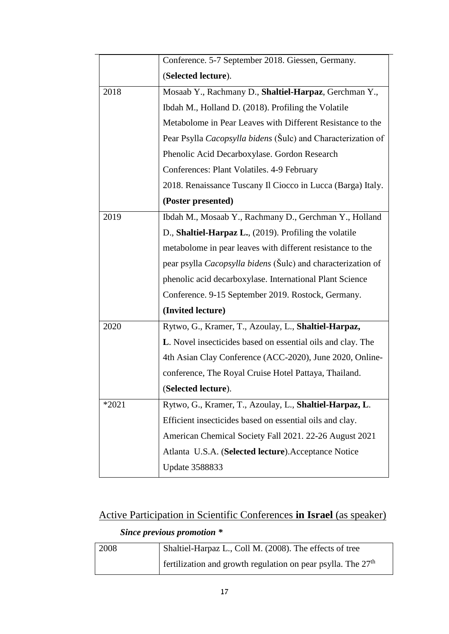|         | Conference. 5-7 September 2018. Giessen, Germany.                   |
|---------|---------------------------------------------------------------------|
|         | (Selected lecture).                                                 |
| 2018    | Mosaab Y., Rachmany D., Shaltiel-Harpaz, Gerchman Y.,               |
|         | Ibdah M., Holland D. (2018). Profiling the Volatile                 |
|         | Metabolome in Pear Leaves with Different Resistance to the          |
|         | Pear Psylla Cacopsylla bidens (Šulc) and Characterization of        |
|         | Phenolic Acid Decarboxylase. Gordon Research                        |
|         | Conferences: Plant Volatiles. 4-9 February                          |
|         | 2018. Renaissance Tuscany Il Ciocco in Lucca (Barga) Italy.         |
|         | (Poster presented)                                                  |
| 2019    | Ibdah M., Mosaab Y., Rachmany D., Gerchman Y., Holland              |
|         | D., Shaltiel-Harpaz L., $(2019)$ . Profiling the volatile           |
|         | metabolome in pear leaves with different resistance to the          |
|         | pear psylla <i>Cacopsylla bidens</i> (Sulc) and characterization of |
|         | phenolic acid decarboxylase. International Plant Science            |
|         | Conference. 9-15 September 2019. Rostock, Germany.                  |
|         | (Invited lecture)                                                   |
| 2020    | Rytwo, G., Kramer, T., Azoulay, L., Shaltiel-Harpaz,                |
|         | L. Novel insecticides based on essential oils and clay. The         |
|         | 4th Asian Clay Conference (ACC-2020), June 2020, Online-            |
|         | conference, The Royal Cruise Hotel Pattaya, Thailand.               |
|         | (Selected lecture).                                                 |
| $*2021$ | Rytwo, G., Kramer, T., Azoulay, L., Shaltiel-Harpaz, L.             |
|         | Efficient insecticides based on essential oils and clay.            |
|         | American Chemical Society Fall 2021. 22-26 August 2021              |
|         | Atlanta U.S.A. (Selected lecture). Acceptance Notice                |
|         | <b>Update 3588833</b>                                               |

# Active Participation in Scientific Conferences **in Israel** (as speaker)

## *Since previous promotion \**

 $\overline{a}$ 

| 2008 | Shaltiel-Harpaz L., Coll M. (2008). The effects of tree        |
|------|----------------------------------------------------------------|
|      | Fertilization and growth regulation on pear psylla. The $27th$ |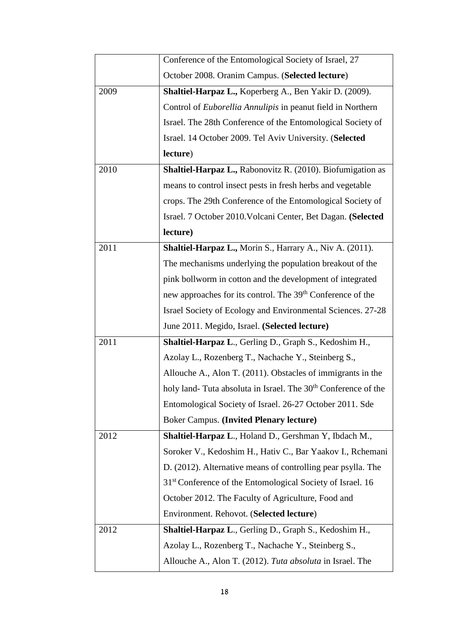|      | Conference of the Entomological Society of Israel, 27                      |
|------|----------------------------------------------------------------------------|
|      | October 2008. Oranim Campus. (Selected lecture)                            |
| 2009 | Shaltiel-Harpaz L., Koperberg A., Ben Yakir D. (2009).                     |
|      | Control of <i>Euborellia Annulipis</i> in peanut field in Northern         |
|      | Israel. The 28th Conference of the Entomological Society of                |
|      | Israel. 14 October 2009. Tel Aviv University. (Selected                    |
|      | lecture)                                                                   |
| 2010 | Shaltiel-Harpaz L., Rabonovitz R. (2010). Biofumigation as                 |
|      | means to control insect pests in fresh herbs and vegetable                 |
|      | crops. The 29th Conference of the Entomological Society of                 |
|      | Israel. 7 October 2010. Volcani Center, Bet Dagan. (Selected               |
|      | lecture)                                                                   |
| 2011 | Shaltiel-Harpaz L., Morin S., Harrary A., Niv A. (2011).                   |
|      | The mechanisms underlying the population breakout of the                   |
|      | pink bollworm in cotton and the development of integrated                  |
|      | new approaches for its control. The 39 <sup>th</sup> Conference of the     |
|      | Israel Society of Ecology and Environmental Sciences. 27-28                |
|      | June 2011. Megido, Israel. (Selected lecture)                              |
| 2011 | Shaltiel-Harpaz L., Gerling D., Graph S., Kedoshim H.,                     |
|      | Azolay L., Rozenberg T., Nachache Y., Steinberg S.,                        |
|      | Allouche A., Alon T. (2011). Obstacles of immigrants in the                |
|      | holy land- Tuta absoluta in Israel. The 30 <sup>th</sup> Conference of the |
|      | Entomological Society of Israel. 26-27 October 2011. Sde                   |
|      | <b>Boker Campus. (Invited Plenary lecture)</b>                             |
| 2012 | Shaltiel-Harpaz L., Holand D., Gershman Y, Ibdach M.,                      |
|      | Soroker V., Kedoshim H., Hativ C., Bar Yaakov I., Rchemani                 |
|      | D. (2012). Alternative means of controlling pear psylla. The               |
|      | 31 <sup>st</sup> Conference of the Entomological Society of Israel. 16     |
|      | October 2012. The Faculty of Agriculture, Food and                         |
|      | Environment. Rehovot. (Selected lecture)                                   |
| 2012 | Shaltiel-Harpaz L., Gerling D., Graph S., Kedoshim H.,                     |
|      | Azolay L., Rozenberg T., Nachache Y., Steinberg S.,                        |
|      | Allouche A., Alon T. (2012). Tuta absoluta in Israel. The                  |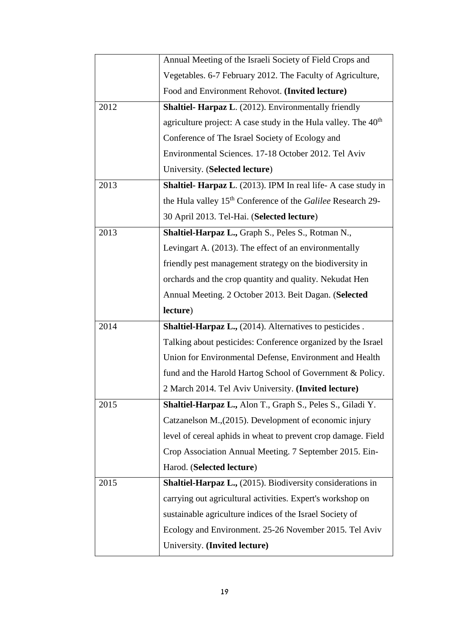|      | Annual Meeting of the Israeli Society of Field Crops and                |
|------|-------------------------------------------------------------------------|
|      | Vegetables. 6-7 February 2012. The Faculty of Agriculture,              |
|      | Food and Environment Rehovot. (Invited lecture)                         |
| 2012 | <b>Shaltiel- Harpaz L.</b> (2012). Environmentally friendly             |
|      | agriculture project: A case study in the Hula valley. The $40th$        |
|      | Conference of The Israel Society of Ecology and                         |
|      | Environmental Sciences. 17-18 October 2012. Tel Aviv                    |
|      | University. (Selected lecture)                                          |
| 2013 | <b>Shaltiel- Harpaz L.</b> (2013). IPM In real life- A case study in    |
|      | the Hula valley 15 <sup>th</sup> Conference of the Galilee Research 29- |
|      | 30 April 2013. Tel-Hai. (Selected lecture)                              |
| 2013 | Shaltiel-Harpaz L., Graph S., Peles S., Rotman N.,                      |
|      | Levingart A. (2013). The effect of an environmentally                   |
|      | friendly pest management strategy on the biodiversity in                |
|      | orchards and the crop quantity and quality. Nekudat Hen                 |
|      | Annual Meeting. 2 October 2013. Beit Dagan. (Selected                   |
|      |                                                                         |
|      | lecture)                                                                |
| 2014 | <b>Shaltiel-Harpaz L., (2014). Alternatives to pesticides.</b>          |
|      | Talking about pesticides: Conference organized by the Israel            |
|      | Union for Environmental Defense, Environment and Health                 |
|      | fund and the Harold Hartog School of Government & Policy.               |
|      | 2 March 2014. Tel Aviv University. (Invited lecture)                    |
| 2015 | Shaltiel-Harpaz L., Alon T., Graph S., Peles S., Giladi Y.              |
|      | Catzanelson M., (2015). Development of economic injury                  |
|      | level of cereal aphids in wheat to prevent crop damage. Field           |
|      | Crop Association Annual Meeting. 7 September 2015. Ein-                 |
|      | Harod. (Selected lecture)                                               |
| 2015 | <b>Shaltiel-Harpaz L., (2015). Biodiversity considerations in</b>       |
|      | carrying out agricultural activities. Expert's workshop on              |
|      | sustainable agriculture indices of the Israel Society of                |
|      | Ecology and Environment. 25-26 November 2015. Tel Aviv                  |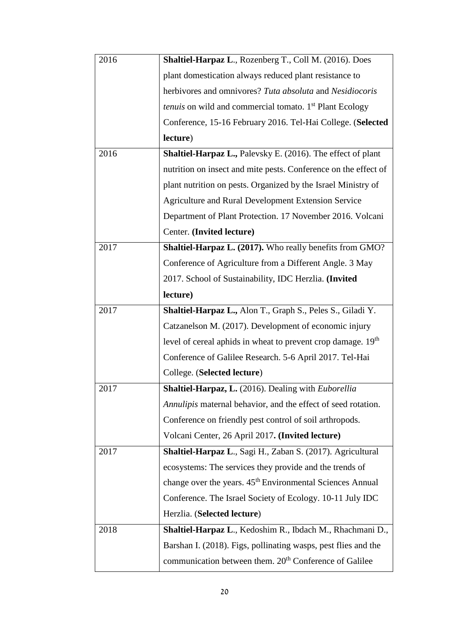| 2016 | Shaltiel-Harpaz L., Rozenberg T., Coll M. (2016). Does                     |
|------|----------------------------------------------------------------------------|
|      | plant domestication always reduced plant resistance to                     |
|      | herbivores and omnivores? Tuta absoluta and Nesidiocoris                   |
|      | <i>tenuis</i> on wild and commercial tomato. 1 <sup>st</sup> Plant Ecology |
|      | Conference, 15-16 February 2016. Tel-Hai College. (Selected                |
|      | lecture)                                                                   |
| 2016 | Shaltiel-Harpaz L., Palevsky E. (2016). The effect of plant                |
|      | nutrition on insect and mite pests. Conference on the effect of            |
|      | plant nutrition on pests. Organized by the Israel Ministry of              |
|      | <b>Agriculture and Rural Development Extension Service</b>                 |
|      | Department of Plant Protection. 17 November 2016. Volcani                  |
|      | Center. (Invited lecture)                                                  |
| 2017 | <b>Shaltiel-Harpaz L. (2017).</b> Who really benefits from GMO?            |
|      | Conference of Agriculture from a Different Angle. 3 May                    |
|      | 2017. School of Sustainability, IDC Herzlia. (Invited                      |
|      | lecture)                                                                   |
| 2017 | Shaltiel-Harpaz L., Alon T., Graph S., Peles S., Giladi Y.                 |
|      | Catzanelson M. (2017). Development of economic injury                      |
|      | level of cereal aphids in wheat to prevent crop damage. 19th               |
|      | Conference of Galilee Research. 5-6 April 2017. Tel-Hai                    |
|      | College. (Selected lecture)                                                |
| 2017 | Shaltiel-Harpaz, L. (2016). Dealing with Euborellia                        |
|      | Annulipis maternal behavior, and the effect of seed rotation.              |
|      | Conference on friendly pest control of soil arthropods.                    |
|      | Volcani Center, 26 April 2017. (Invited lecture)                           |
| 2017 | Shaltiel-Harpaz L., Sagi H., Zaban S. (2017). Agricultural                 |
|      | ecosystems: The services they provide and the trends of                    |
|      | change over the years. 45 <sup>th</sup> Environmental Sciences Annual      |
|      | Conference. The Israel Society of Ecology. 10-11 July IDC                  |
|      | Herzlia. (Selected lecture)                                                |
| 2018 | Shaltiel-Harpaz L., Kedoshim R., Ibdach M., Rhachmani D.,                  |
|      | Barshan I. (2018). Figs, pollinating wasps, pest flies and the             |
|      | communication between them. 20 <sup>th</sup> Conference of Galilee         |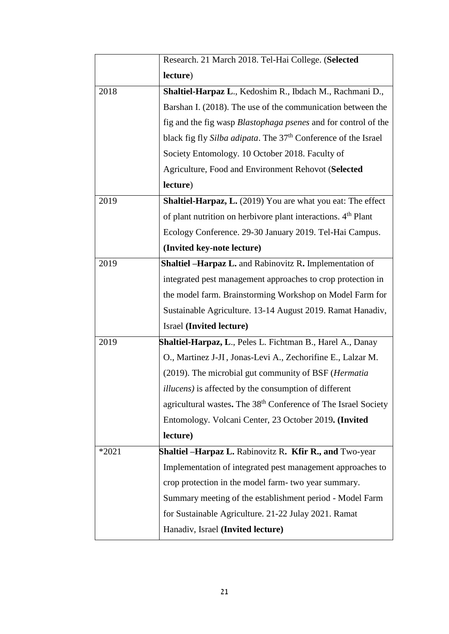|         | Research. 21 March 2018. Tel-Hai College. (Selected                        |
|---------|----------------------------------------------------------------------------|
|         | lecture)                                                                   |
| 2018    | Shaltiel-Harpaz L., Kedoshim R., Ibdach M., Rachmani D.,                   |
|         | Barshan I. (2018). The use of the communication between the                |
|         | fig and the fig wasp Blastophaga psenes and for control of the             |
|         | black fig fly Silba adipata. The 37 <sup>th</sup> Conference of the Israel |
|         | Society Entomology. 10 October 2018. Faculty of                            |
|         | Agriculture, Food and Environment Rehovot (Selected                        |
|         | lecture)                                                                   |
| 2019    | Shaltiel-Harpaz, L. (2019) You are what you eat: The effect                |
|         | of plant nutrition on herbivore plant interactions. 4 <sup>th</sup> Plant  |
|         | Ecology Conference. 29-30 January 2019. Tel-Hai Campus.                    |
|         | (Invited key-note lecture)                                                 |
| 2019    | Shaltiel -Harpaz L. and Rabinovitz R. Implementation of                    |
|         | integrated pest management approaches to crop protection in                |
|         | the model farm. Brainstorming Workshop on Model Farm for                   |
|         | Sustainable Agriculture. 13-14 August 2019. Ramat Hanadiv,                 |
|         | Israel (Invited lecture)                                                   |
| 2019    | Shaltiel-Harpaz, L., Peles L. Fichtman B., Harel A., Danay                 |
|         | O., Martinez J-JI, Jonas-Levi A., Zechorifine E., Lalzar M.                |
|         | (2019). The microbial gut community of BSF (Hermatia                       |
|         | <i>illucens</i> ) is affected by the consumption of different              |
|         | agricultural wastes. The 38 <sup>th</sup> Conference of The Israel Society |
|         | Entomology. Volcani Center, 23 October 2019. (Invited                      |
|         | lecture)                                                                   |
| $*2021$ | <b>Shaltiel – Harpaz L.</b> Rabinovitz R. Kfir R., and Two-year            |
|         | Implementation of integrated pest management approaches to                 |
|         | crop protection in the model farm- two year summary.                       |
|         | Summary meeting of the establishment period - Model Farm                   |
|         | for Sustainable Agriculture. 21-22 Julay 2021. Ramat                       |
|         | Hanadiv, Israel (Invited lecture)                                          |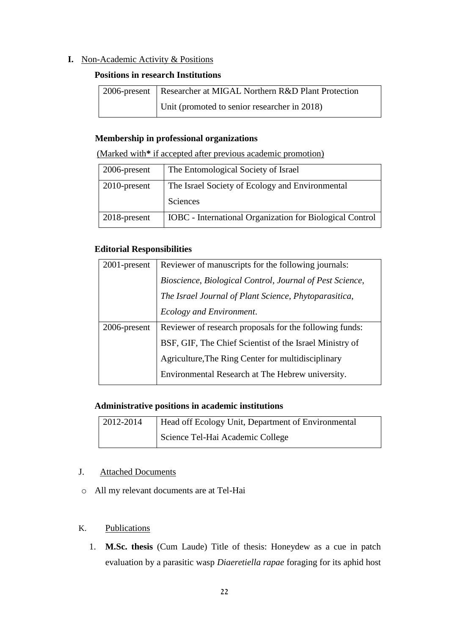#### **I.** Non-Academic Activity & Positions

#### **Positions in research Institutions**

| 2006-present   Researcher at MIGAL Northern R&D Plant Protection |
|------------------------------------------------------------------|
| Unit (promoted to senior researcher in 2018)                     |

#### **Membership in professional organizations**

(Marked with**\*** if accepted after previous academic promotion)

| 2006-present    | The Entomological Society of Israel                             |
|-----------------|-----------------------------------------------------------------|
| $2010$ -present | The Israel Society of Ecology and Environmental                 |
|                 | Sciences                                                        |
| 2018-present    | <b>IOBC</b> - International Organization for Biological Control |

#### **Editorial Responsibilities**

| 2001-present | Reviewer of manuscripts for the following journals:      |
|--------------|----------------------------------------------------------|
|              | Bioscience, Biological Control, Journal of Pest Science, |
|              | The Israel Journal of Plant Science, Phytoparasitica,    |
|              | Ecology and Environment.                                 |
| 2006-present | Reviewer of research proposals for the following funds:  |
|              |                                                          |
|              | BSF, GIF, The Chief Scientist of the Israel Ministry of  |
|              | Agriculture, The Ring Center for multidisciplinary       |
|              | Environmental Research at The Hebrew university.         |

#### **Administrative positions in academic institutions**

| $12012 - 2014$ | Head off Ecology Unit, Department of Environmental |
|----------------|----------------------------------------------------|
|                | Science Tel-Hai Academic College                   |

#### J. Attached Documents

o All my relevant documents are at Tel-Hai

#### K. Publications

1. **M.Sc. thesis** (Cum Laude) Title of thesis: Honeydew as a cue in patch evaluation by a parasitic wasp *Diaeretiella rapae* foraging for its aphid host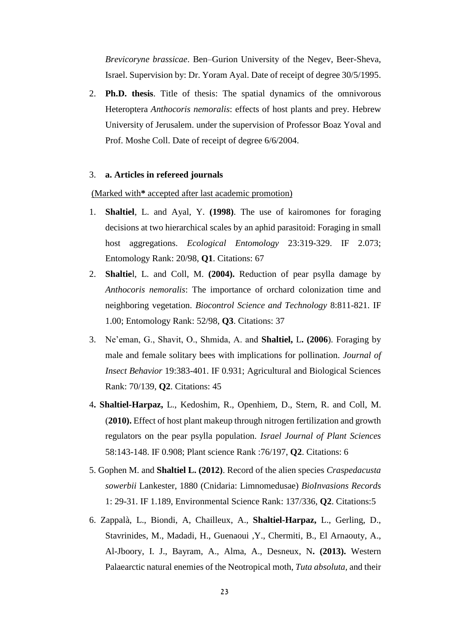*Brevicoryne brassicae*. Ben–Gurion University of the Negev, Beer-Sheva, Israel. Supervision by: Dr. Yoram Ayal. Date of receipt of degree 30/5/1995.

2. **Ph.D. thesis**. Title of thesis: The spatial dynamics of the omnivorous Heteroptera *Anthocoris nemoralis*: effects of host plants and prey. Hebrew University of Jerusalem. under the supervision of Professor Boaz Yoval and Prof. Moshe Coll. Date of receipt of degree 6/6/2004.

#### 3. **a. Articles in refereed journals**

(Marked with**\*** accepted after last academic promotion)

- 1. **Shaltiel**, L. and Ayal, Y. **(1998)**. The use of kairomones for foraging decisions at two hierarchical scales by an aphid parasitoid: Foraging in small host aggregations. *Ecological Entomology* 23:319-329. IF 2.073; Entomology Rank: 20/98, **Q1**. Citations: 67
- 2. **Shaltie**l, L. and Coll, M. **(2004).** Reduction of pear psylla damage by *Anthocoris nemoralis*: The importance of orchard colonization time and neighboring vegetation. *Biocontrol Science and Technology* 8:811-821. IF 1.00; Entomology Rank: 52/98, **Q3**. Citations: 37
- 3. Ne'eman, G., Shavit, O., Shmida, A. and **Shaltiel,** L**. (2006**). Foraging by male and female solitary bees with implications for pollination. *Journal of Insect Behavior* 19:383-401. IF 0.931; Agricultural and Biological Sciences Rank: 70/139, **Q2**. Citations: 45
- 4**. Shaltiel-Harpaz,** L., Kedoshim, R., Openhiem, D., Stern, R. and Coll, M. (**2010).** Effect of host plant makeup through nitrogen fertilization and growth regulators on the pear psylla population. *Israel Journal of Plant Sciences* 58:143-148. IF 0.908; Plant science Rank :76/197, **Q2**. Citations: 6
- 5. Gophen M. and **Shaltiel L. (2012)**. Record of the alien species *Craspedacusta sowerbii* Lankester, 1880 (Cnidaria: Limnomedusae) *BioInvasions Records* 1: 29-31. IF 1.189, Environmental Science Rank: 137/336, **Q2**. Citations:5
- 6. Zappalà, L., Biondi, A, Chailleux, A., **Shaltiel-Harpaz,** L., Gerling, D., Stavrinides, M., Madadi, H., Guenaoui ,Y., Chermiti, B., El Arnaouty, A., Al-Jboory, I. J., Bayram, A., Alma, A., Desneux, N**. (2013).** Western Palaearctic natural enemies of the Neotropical moth, *Tuta absoluta,* and their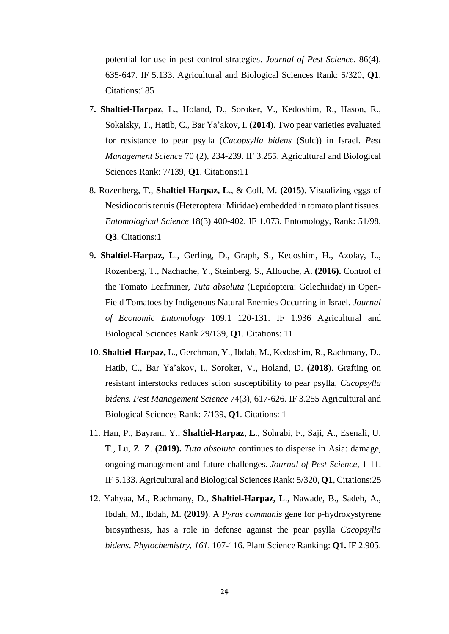potential for use in pest control strategies. *Journal of Pest Science*, 86(4), 635-647. IF 5.133. Agricultural and Biological Sciences Rank: 5/320, **Q1**. Citations:185

- 7**. Shaltiel-Harpaz**, L., Holand, D., Soroker, V., Kedoshim, R., Hason, R., Sokalsky, T., Hatib, C., Bar Ya'akov, I. **(2014**). Two pear varieties evaluated for resistance to pear psylla (*Cacopsylla bidens* (Sulc)) in Israel. *Pest Management Science* 70 (2), 234-239. IF 3.255. Agricultural and Biological Sciences Rank: 7/139, **Q1**. Citations:11
- 8. Rozenberg, T., **Shaltiel-Harpaz, L**., & Coll, M. **(2015)**. Visualizing eggs of Nesidiocoris tenuis (Heteroptera: Miridae) embedded in tomato plant tissues. *Entomological Science* 18(3) 400-402. IF 1.073. Entomology, Rank: 51/98, **Q3**. Citations:1
- 9**. Shaltiel-Harpaz, L**., Gerling, D., Graph, S., Kedoshim, H., Azolay, L., Rozenberg, T., Nachache, Y., Steinberg, S., Allouche, A. **(2016).** Control of the Tomato Leafminer, *Tuta absoluta* (Lepidoptera: Gelechiidae) in Open-Field Tomatoes by Indigenous Natural Enemies Occurring in Israel. *Journal of Economic Entomology* 109.1 120-131. IF 1.936 Agricultural and Biological Sciences Rank 29/139, **Q1**. Citations: 11
- 10. **Shaltiel-Harpaz,** L., Gerchman, Y., Ibdah, M., Kedoshim, R., Rachmany, D., Hatib, C., Bar Ya'akov, I., Soroker, V., Holand, D. **(2018**). Grafting on resistant interstocks reduces scion susceptibility to pear psylla, *Cacopsylla bidens. Pest Management Science* 74(3), 617-626. IF 3.255 Agricultural and Biological Sciences Rank: 7/139, **Q1**. Citations: 1
- 11. Han, P., Bayram, Y., **Shaltiel-Harpaz, L**., Sohrabi, F., Saji, A., Esenali, U. T., Lu, Z. Z. **(2019).** *Tuta absoluta* continues to disperse in Asia: damage, ongoing management and future challenges. *Journal of Pest Science*, 1-11. IF 5.133. Agricultural and Biological Sciences Rank: 5/320, **Q1**, Citations:25
- 12. Yahyaa, M., Rachmany, D., **Shaltiel-Harpaz, L**., Nawade, B., Sadeh, A., Ibdah, M., Ibdah, M. **(2019)**. A *Pyrus communis* gene for p-hydroxystyrene biosynthesis, has a role in defense against the pear psylla *Cacopsylla bidens*. *Phytochemistry*, *161*, 107-116. Plant Science Ranking: **Q1.** IF 2.905.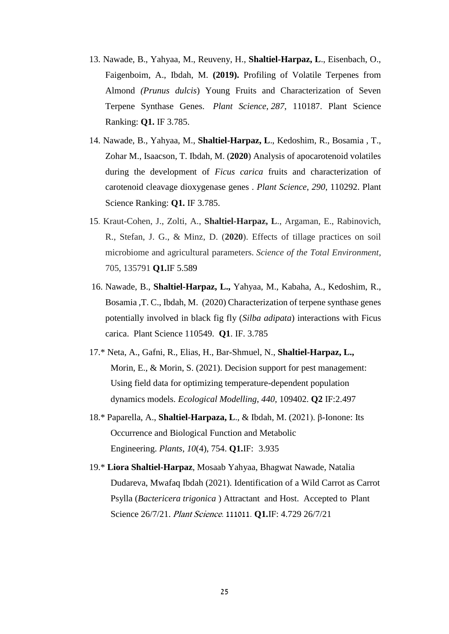- 13. Nawade, B., Yahyaa, M., Reuveny, H., **Shaltiel-Harpaz, L**., Eisenbach, O., Faigenboim, A., Ibdah, M. **(2019).** Profiling of Volatile Terpenes from Almond *(Prunus dulcis*) Young Fruits and Characterization of Seven Terpene Synthase Genes. *Plant Science*, *287*, 110187. Plant Science Ranking: **Q1.** IF 3.785.
- 14. Nawade, B., Yahyaa, M., **Shaltiel-Harpaz, L**., Kedoshim, R., Bosamia , T., Zohar M., Isaacson, T. Ibdah, M. (**2020**) Analysis of apocarotenoid volatiles during the development of *Ficus carica* fruits and characterization of carotenoid cleavage dioxygenase genes . *Plant Science*, *290*, 110292. Plant Science Ranking: **Q1.** IF 3.785.
- 15. Kraut-Cohen, J., Zolti, A., **Shaltiel-Harpaz, L**., Argaman, E., Rabinovich, R., Stefan, J. G., & Minz, D. (**2020**). Effects of tillage practices on soil microbiome and agricultural parameters. *Science of the Total Environment*, 705, 135791 **Q1.**IF 5.589
- 16. Nawade, B., **Shaltiel-Harpaz, L.,** Yahyaa, M., Kabaha, A., Kedoshim, R., Bosamia ,T. C., Ibdah, M. (2020) Characterization of terpene synthase genes potentially involved in black fig fly (*Silba adipata*) interactions with Ficus carica. Plant Science 110549. **Q1**. IF. 3.785
- 17.\* Neta, A., Gafni, R., Elias, H., Bar-Shmuel, N., **Shaltiel-Harpaz, L.,** Morin, E., & Morin, S. (2021). Decision support for pest management: Using field data for optimizing temperature-dependent population dynamics models. *Ecological Modelling*, *440*, 109402. **Q2** IF:2.497
- 18.\* Paparella, A., **Shaltiel-Harpaza, L**., & Ibdah, M. (2021). β-Ionone: Its Occurrence and Biological Function and Metabolic Engineering. *Plants*, *10*(4), 754. **Q1.**IF: 3.935
- 19.\* **Liora Shaltiel-Harpaz**, Mosaab Yahyaa, Bhagwat Nawade, Natalia Dudareva, Mwafaq Ibdah (2021). Identification of a Wild Carrot as Carrot Psylla (*Bactericera trigonica* ) Attractant and Host. Accepted to Plant Science 26/7/21. Plant Science. 111011. **Q1.**IF: 4.729 26/7/21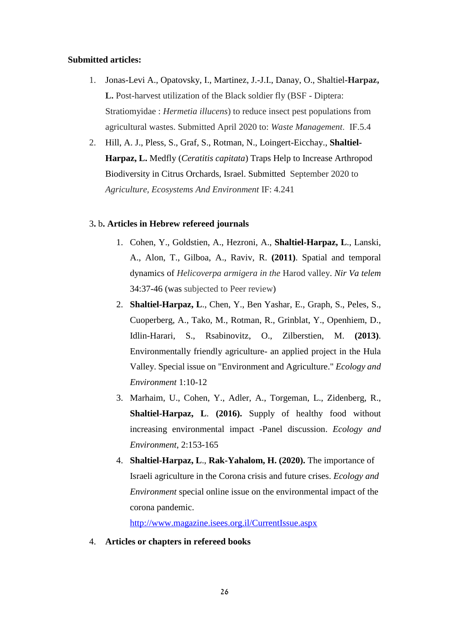#### **Submitted articles:**

- 1. Jonas-Levi A., Opatovsky, I., Martinez, J.-J.I., Danay, O., Shaltiel-**Harpaz, L.** Post-harvest utilization of the Black soldier fly (BSF - Diptera: Stratiomyidae : *Hermetia illucens*) to reduce insect pest populations from agricultural wastes. Submitted April 2020 to: *Waste Management*. IF.5.4
- 2. Hill, A. J., Pless, S., Graf, S., Rotman, N., Loingert-Eicchay., **Shaltiel-Harpaz, L.** Medfly (*Ceratitis capitata*) Traps Help to Increase Arthropod Biodiversity in Citrus Orchards, Israel. Submitted September 2020 to *Agriculture, Ecosystems And Environment* IF: 4.241

#### 3**.** b**. Articles in Hebrew refereed journals**

- 1. Cohen, Y., Goldstien, A., Hezroni, A., **Shaltiel-Harpaz, L**., Lanski, A., Alon, T., Gilboa, A., Raviv, R. **(2011)**. Spatial and temporal dynamics of *Helicoverpa armigera in the* Harod valley. *Nir Va telem* 34:37-46 (was subjected to Peer review)
- 2. **Shaltiel-Harpaz, L**., Chen, Y., Ben Yashar, E., Graph, S., Peles, S., Cuoperberg, A., Tako, M., Rotman, R., Grinblat, Y., Openhiem, D., Idlin-Harari, S., Rsabinovitz, O., Zilberstien, M. **(2013)**. Environmentally friendly agriculture- an applied project in the Hula Valley. Special issue on "Environment and Agriculture." *Ecology and Environment* 1:10-12
- 3. Marhaim, U., Cohen, Y., Adler, A., Torgeman, L., Zidenberg, R., **Shaltiel-Harpaz, L**. **(2016).** Supply of healthy food without increasing environmental impact -Panel discussion. *Ecology and Environment*, 2:153-165
- 4. **Shaltiel-Harpaz, L**., **Rak-Yahalom, H. (2020).** The importance of Israeli agriculture in the Corona crisis and future crises. *Ecology and Environment* special online issue on the environmental impact of the corona pandemic.

<http://www.magazine.isees.org.il/CurrentIssue.aspx>

4. **Articles or chapters in refereed books**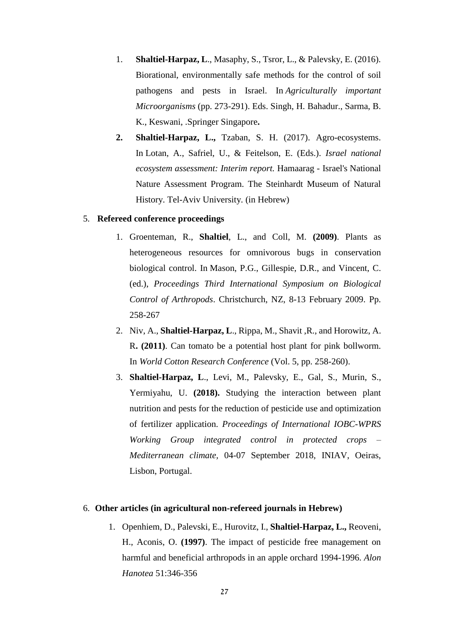- 1. **Shaltiel-Harpaz, L**., Masaphy, S., Tsror, L., & Palevsky, E. (2016). Biorational, environmentally safe methods for the control of soil pathogens and pests in Israel. In *Agriculturally important Microorganisms* (pp. 273-291). Eds. Singh, H. Bahadur., Sarma, B. K., Keswani, .Springer Singapore**.**
- **2. Shaltiel-Harpaz, L.,** Tzaban, S. H. (2017). Agro-ecosystems. In Lotan, A., Safriel, U., & Feitelson, E. (Eds.). *Israel national ecosystem assessment: Interim report.* Hamaarag - Israel's National Nature Assessment Program. The Steinhardt Museum of Natural History. Tel-Aviv University. (in Hebrew)

#### 5. **Refereed conference proceedings**

- 1. Groenteman, R., **Shaltiel**, L., and Coll, M. **(2009)**. Plants as heterogeneous resources for omnivorous bugs in conservation biological control. In Mason, P.G., Gillespie, D.R., and Vincent, C. (ed.), *Proceedings Third International Symposium on Biological Control of Arthropods*. Christchurch, NZ, 8-13 February 2009. Pp. 258-267
- 2. Niv, A., **Shaltiel-Harpaz, L**., Rippa, M., Shavit ,R., and Horowitz, A. R**. (2011)**. Can tomato be a potential host plant for pink bollworm. In *World Cotton Research Conference* (Vol. 5, pp. 258-260).
- 3. **Shaltiel-Harpaz, L**., Levi, M., Palevsky, E., Gal, S., Murin, S., Yermiyahu, U. **(2018).** Studying the interaction between plant nutrition and pests for the reduction of pesticide use and optimization of fertilizer application. *Proceedings of International IOBC-WPRS Working Group integrated control in protected crops – Mediterranean climate,* 04-07 September 2018, INIAV, Oeiras, Lisbon, Portugal.

#### 6. **Other articles (in agricultural non-refereed journals in Hebrew)**

1. Openhiem, D., Palevski, E., Hurovitz, I., **Shaltiel-Harpaz, L.,** Reoveni, H., Aconis, O. **(1997)**. The impact of pesticide free management on harmful and beneficial arthropods in an apple orchard 1994-1996. *Alon Hanotea* 51:346-356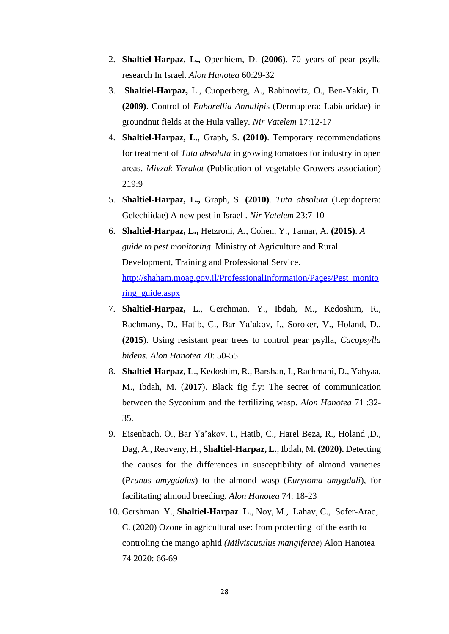- 2. **Shaltiel-Harpaz, L.,** Openhiem, D. **(2006)**. 70 years of pear psylla research In Israel. *Alon Hanotea* 60:29-32
- 3. **Shaltiel-Harpaz,** L., Cuoperberg, A., Rabinovitz, O., Ben-Yakir, D. **(2009)**. Control of *Euborellia Annulipi*s (Dermaptera: Labiduridae) in groundnut fields at the Hula valley. *Nir Vatelem* 17:12-17
- 4. **Shaltiel-Harpaz, L**., Graph, S. **(2010)**. Temporary recommendations for treatment of *Tuta absoluta* in growing tomatoes for industry in open areas. *Mivzak Yerakot* (Publication of vegetable Growers association) 219:9
- 5. **Shaltiel-Harpaz, L.,** Graph, S. **(2010)**. *Tuta absoluta* (Lepidoptera: Gelechiidae) A new pest in Israel . *Nir Vatelem* 23:7-10
- 6. **Shaltiel-Harpaz, L.,** Hetzroni, A., Cohen, Y., Tamar, A. **(2015)**. *A guide to pest monitoring*. Ministry of Agriculture and Rural Development, Training and Professional Service. [http://shaham.moag.gov.il/ProfessionalInformation/Pages/Pest\\_monito](http://shaham.moag.gov.il/ProfessionalInformation/Pages/Pest_monitoring_guide.aspx) [ring\\_guide.aspx](http://shaham.moag.gov.il/ProfessionalInformation/Pages/Pest_monitoring_guide.aspx)
- 7. **Shaltiel-Harpaz,** L., Gerchman, Y., Ibdah, M., Kedoshim, R., Rachmany, D., Hatib, C., Bar Ya'akov, I., Soroker, V., Holand, D., **(2015**). Using resistant pear trees to control pear psylla, *Cacopsylla bidens. Alon Hanotea* 70: 50-55
- 8. **Shaltiel-Harpaz, L**., Kedoshim, R., Barshan, I., Rachmani, D., Yahyaa, M., Ibdah, M. (**2017**). Black fig fly: The secret of communication between the Syconium and the fertilizing wasp. *Alon Hanotea* 71 :32- 35.
- 9. Eisenbach, O., Bar Ya'akov, I., Hatib, C., Harel Beza, R., Holand ,D., Dag, A., Reoveny, H., **Shaltiel-Harpaz, L.**, Ibdah, M**. (2020).** Detecting the causes for the differences in susceptibility of almond varieties (*Prunus amygdalus*) to the almond wasp (*Eurytoma amygdali*), for facilitating almond breeding. *Alon Hanotea* 74: 18-23
- 10. Gershman Y., **Shaltiel-Harpaz L**., Noy, M., Lahav, C., Sofer-Arad, C. (2020) Ozone in agricultural use: from protecting of the earth to controling the mango aphid *(Milviscutulus mangiferae*) Alon Hanotea 74 2020: 66-69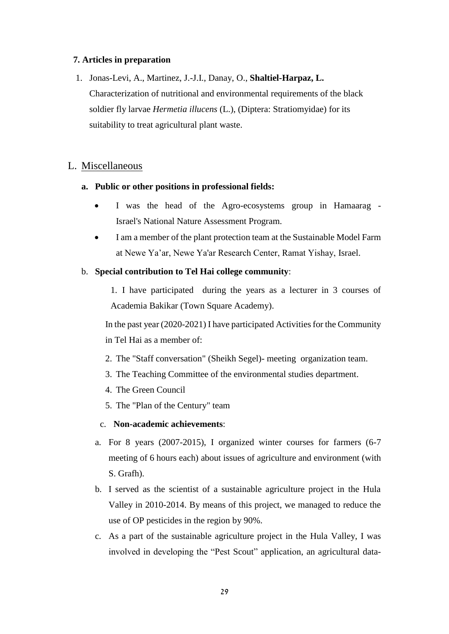#### **7. Articles in preparation**

1. Jonas-Levi, A., Martinez, J.-J.I., Danay, O., **Shaltiel-Harpaz, L.** Characterization of nutritional and environmental requirements of the black soldier fly larvae *Hermetia illucens* (L.), (Diptera: Stratiomyidae) for its suitability to treat agricultural plant waste.

### L. Miscellaneous

#### **a. Public or other positions in professional fields:**

- I was the head of the Agro-ecosystems group in Hamaarag Israel's National Nature Assessment Program.
- I am a member of the plant protection team at the Sustainable Model Farm at Newe Ya'ar, Newe Ya'ar Research Center, Ramat Yishay, Israel.

#### b. **Special contribution to Tel Hai college community**:

1. I have participated during the years as a lecturer in 3 courses of Academia Bakikar (Town Square Academy).

In the past year (2020-2021) I have participated Activities for the Community in Tel Hai as a member of:

- 2. The "Staff conversation" (Sheikh Segel)- meeting organization team.
- 3. The Teaching Committee of the environmental studies department.
- 4. The Green Council
- 5. The "Plan of the Century" team

#### c. **Non-academic achievements**:

- a. For 8 years (2007-2015), I organized winter courses for farmers (6-7 meeting of 6 hours each) about issues of agriculture and environment (with S. Grafh).
- b. I served as the scientist of a sustainable agriculture project in the Hula Valley in 2010-2014. By means of this project, we managed to reduce the use of OP pesticides in the region by 90%.
- c. As a part of the sustainable agriculture project in the Hula Valley, I was involved in developing the "Pest Scout" application, an agricultural data-